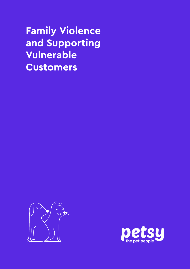# **Family Violence and Supporting Vulnerable Customers**



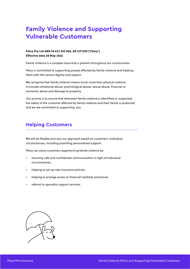# **Family Violence and Supporting Vulnerable Customers**

#### **Petsy Pty Ltd ABN 54 633 343 058, AR 1277359 ('Petsy') Effective date 28 May 2022**

Family violence is a complex issue that is present throughout our communities.

Petsy is committed to supporting people affected by family violence and treating them with the utmost dignity and respect.

We recognise that family violence means much more than physical violence. It includes emotional abuse, psychological abuse, sexual abuse, financial or economic abuse and damage to property.

Our priority is to ensure that whenever family violence is identified or suspected, the safety of the customer affected by family violence and their family is protected and we are committed to supporting you.

### **Helping Customers**

We will be flexible and vary our approach based on customers' individual circumstances, including providing personalised support.

Petsy can assist customers experiencing family violence by:

- ensuring safe and confidential communication in light of individual circumstances;
- helping to set up new insurance policies;
- helping to arrange access to financial hardship assistance;
- referral to specialist support services.

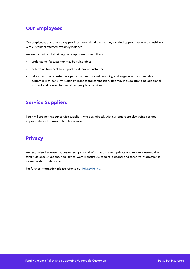#### **Our Employees**

Our employees and third-party providers are trained so that they can deal appropriately and sensitively with customers affected by family violence.

We are committed to training our employees to help them:

- understand if a customer may be vulnerable;
- determine how best to support a vulnerable customer;
- take account of a customer's particular needs or vulnerability; and engage with a vulnerable customer with sensitivity, dignity, respect and compassion. This may include arranging additional support and referral to specialised people or services.

#### **Service Suppliers**

Petsy will ensure that our service suppliers who deal directly with customers are also trained to deal appropriately with cases of family violence.

### **Privacy**

We recognise that ensuring customers' personal information is kept private and secure is essential in family violence situations. At all times, we will ensure customers' personal and sensitive information is treated with confidentiality.

For further information please refer to our **Privacy Policy**.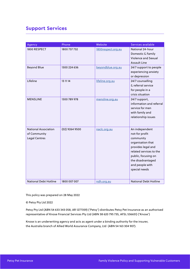## **Support Services**

| Agency                                                              | Phone            | Website            | Services available                                                                                                                                                                                  |
|---------------------------------------------------------------------|------------------|--------------------|-----------------------------------------------------------------------------------------------------------------------------------------------------------------------------------------------------|
| 1800 RESPECT                                                        | 1800 737 732     | 1800respect.org.au | National 24-hour<br>Domestic & Family<br><b>Violence and Sexual</b><br><b>Assault Line</b>                                                                                                          |
| <b>Beyond Blue</b>                                                  | 1300 224 636     | beyondblue.org.au  | 24/7 support to people<br>experiencing anxiety<br>or depression                                                                                                                                     |
| Lifeline                                                            | 13 11 14         | lifeline.org.au    | 24/7 counselling<br>& referral service<br>for people in a<br>crisis situation                                                                                                                       |
| <b>MENSLINE</b>                                                     | 1300 789 978     | mensline.org.au    | 24/7 support,<br>information and referral<br>service for men<br>with family and<br>relationship issues                                                                                              |
| <b>National Association</b><br>of Community<br><b>Legal Centres</b> | $(02)$ 9264 9500 | naclc.org.au       | An independent<br>not-for profit<br>community<br>organisation that<br>provides legal and<br>related services to the<br>public, focusing on<br>the disadvantaged<br>and people with<br>special needs |
| <b>National Debt Hotline</b>                                        | 1800 007 007     | ndh.org.au         | <b>National Debt Hotline</b>                                                                                                                                                                        |

This policy was prepared on 28 May 2022

© Petsy Pty Ltd 2022

Petsy Pty Ltd (ABN 54 633 343 058, AR 1277359) ('Petsy') distributes Petsy Pet Insurance as an authorised representative of Knose Financial Services Pty Ltd (ABN 38 620 795 735, AFSL 536651) ('Knose')

Knose is an underwriting agency and acts as agent under a binding authority for the insurer, the Australia branch of Allied World Assurance Company, Ltd (ABN 54 163 304 907).